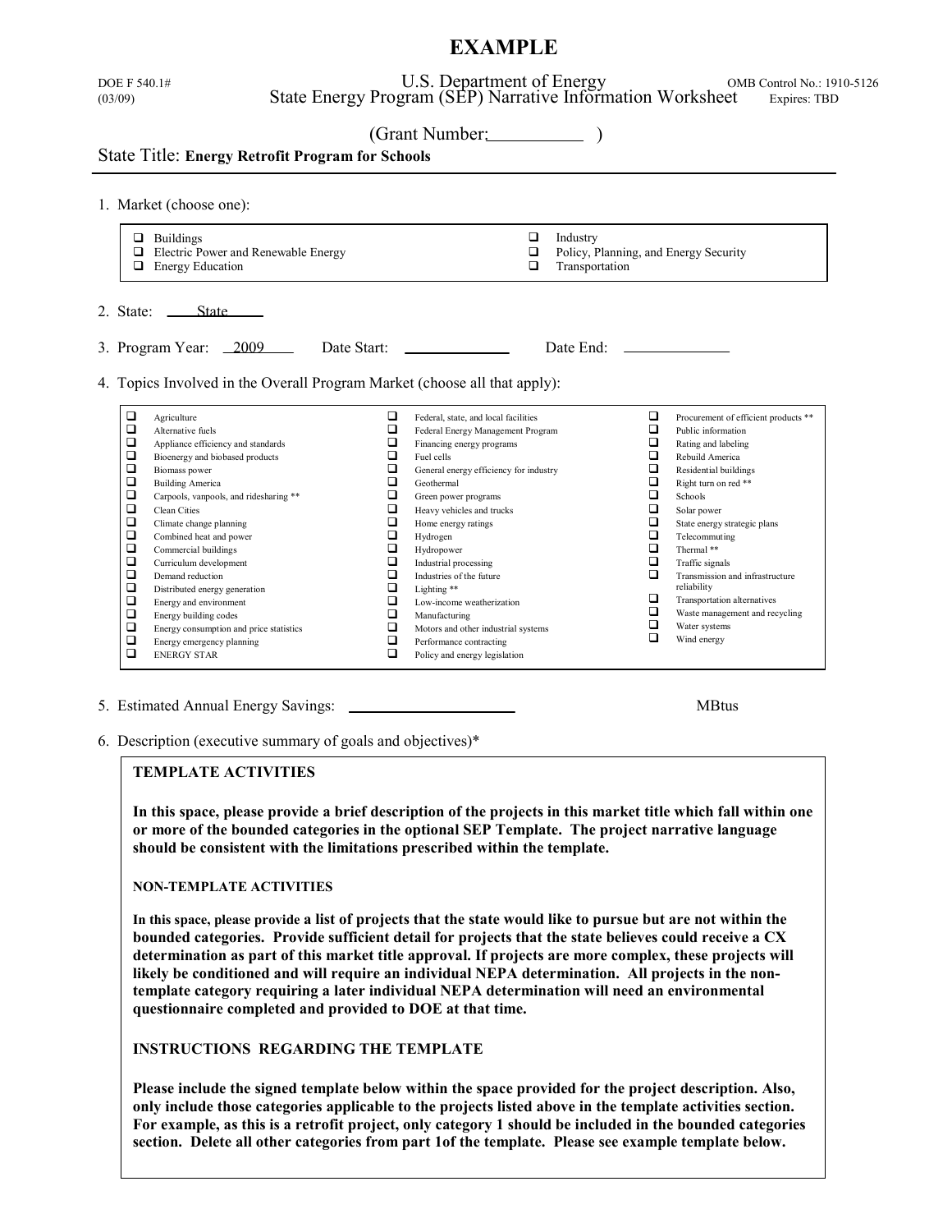# **EXAMPLE**

| (03/09)                                                                                 |                                                         | U.S. Department of Energy<br>State Energy Program (SEP) Narrative Information Worksheet |                            | OMB Control No.: 1910-5126<br>Expires: TBD |  |
|-----------------------------------------------------------------------------------------|---------------------------------------------------------|-----------------------------------------------------------------------------------------|----------------------------|--------------------------------------------|--|
|                                                                                         | <b>State Title: Energy Retrofit Program for Schools</b> | (Grant Number: )                                                                        |                            |                                            |  |
| 1. Market (choose one):                                                                 |                                                         |                                                                                         |                            |                                            |  |
| $\Box$ Buildings<br>Electric Power and Renewable Energy<br>□<br>$\Box$ Energy Education |                                                         | $\Box$<br>□<br>□                                                                        | Industry<br>Transportation | Policy, Planning, and Energy Security      |  |
| 2. State:<br><b>State</b>                                                               | 3. Program Year: 2009 Date Start:                       |                                                                                         | Date End:                  |                                            |  |
|                                                                                         |                                                         |                                                                                         |                            |                                            |  |

5. Estimated Annual Energy Savings: MBtus

6. Description (executive summary of goals and objectives)\*

#### **TEMPLATE ACTIVITIES**

**In this space, please provide a brief description of the projects in this market title which fall within one or more of the bounded categories in the optional SEP Template. The project narrative language should be consistent with the limitations prescribed within the template.**

#### **NON-TEMPLATE ACTIVITIES**

**In this space, please provide a list of projects that the state would like to pursue but are not within the bounded categories. Provide sufficient detail for projects that the state believes could receive a CX determination as part of this market title approval. If projects are more complex, these projects will likely be conditioned and will require an individual NEPA determination. All projects in the nontemplate category requiring a later individual NEPA determination will need an environmental questionnaire completed and provided to DOE at that time.** 

**INSTRUCTIONS REGARDING THE TEMPLATE**

**Please include the signed template below within the space provided for the project description. Also, only include those categories applicable to the projects listed above in the template activities section. For example, as this is a retrofit project, only category 1 should be included in the bounded categories section. Delete all other categories from part 1of the template. Please see example template below.**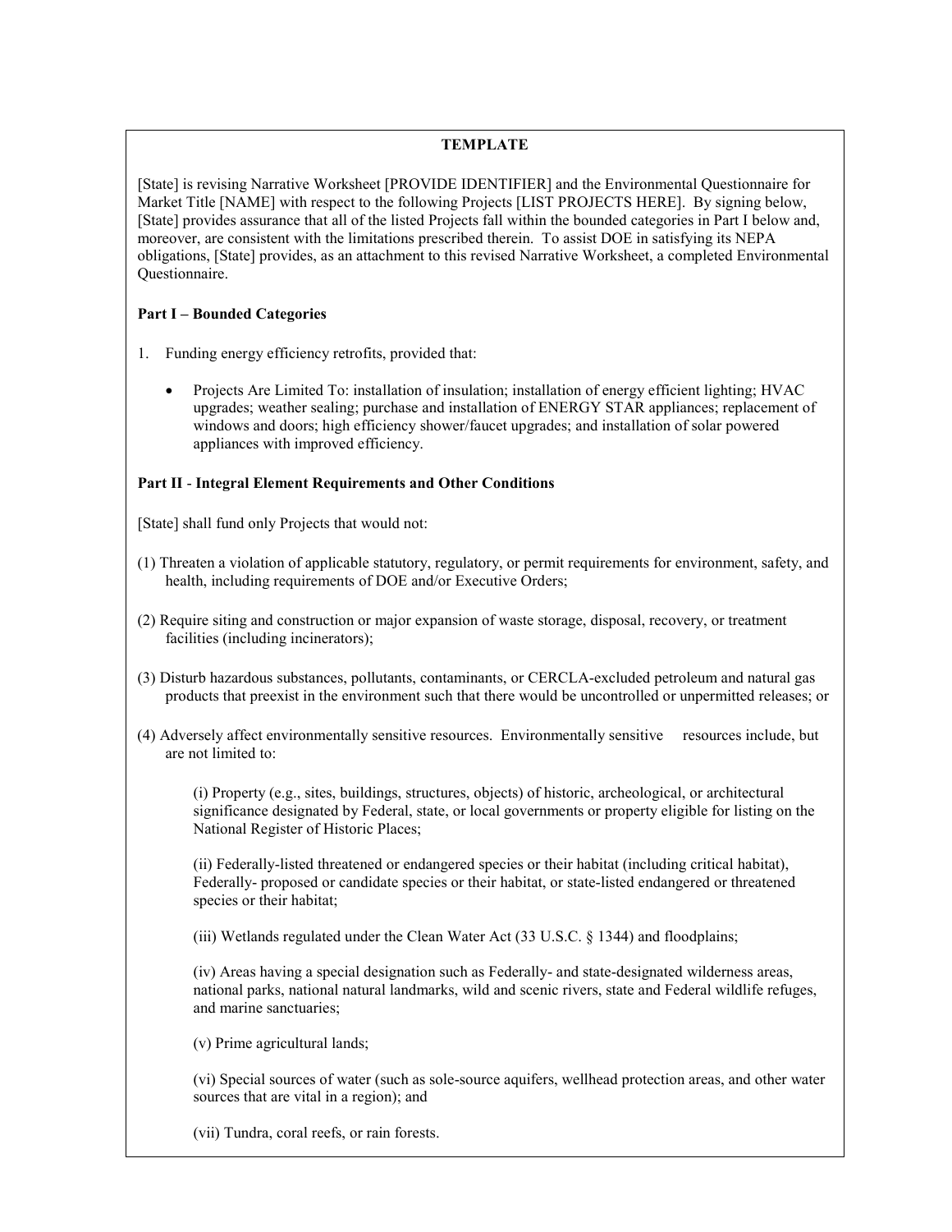## **TEMPLATE**

[State] is revising Narrative Worksheet [PROVIDE IDENTIFIER] and the Environmental Questionnaire for Market Title [NAME] with respect to the following Projects [LIST PROJECTS HERE]. By signing below, [State] provides assurance that all of the listed Projects fall within the bounded categories in Part I below and, moreover, are consistent with the limitations prescribed therein. To assist DOE in satisfying its NEPA obligations, [State] provides, as an attachment to this revised Narrative Worksheet, a completed Environmental Questionnaire.

## **Part I – Bounded Categories**

- 1. Funding energy efficiency retrofits, provided that:
	- Projects Are Limited To: installation of insulation; installation of energy efficient lighting; HVAC upgrades; weather sealing; purchase and installation of ENERGY STAR appliances; replacement of windows and doors; high efficiency shower/faucet upgrades; and installation of solar powered appliances with improved efficiency.

## **Part II** - **Integral Element Requirements and Other Conditions**

[State] shall fund only Projects that would not:

- (1) Threaten a violation of applicable statutory, regulatory, or permit requirements for environment, safety, and health, including requirements of DOE and/or Executive Orders;
- (2) Require siting and construction or major expansion of waste storage, disposal, recovery, or treatment facilities (including incinerators);
- (3) Disturb hazardous substances, pollutants, contaminants, or CERCLA-excluded petroleum and natural gas products that preexist in the environment such that there would be uncontrolled or unpermitted releases; or
- (4) Adversely affect environmentally sensitive resources. Environmentally sensitive resources include, but are not limited to:

(i) Property (e.g., sites, buildings, structures, objects) of historic, archeological, or architectural significance designated by Federal, state, or local governments or property eligible for listing on the National Register of Historic Places;

(ii) Federally-listed threatened or endangered species or their habitat (including critical habitat), Federally- proposed or candidate species or their habitat, or state-listed endangered or threatened species or their habitat;

(iii) Wetlands regulated under the Clean Water Act (33 U.S.C. § 1344) and floodplains;

(iv) Areas having a special designation such as Federally- and state-designated wilderness areas, national parks, national natural landmarks, wild and scenic rivers, state and Federal wildlife refuges, and marine sanctuaries;

(v) Prime agricultural lands;

(vi) Special sources of water (such as sole-source aquifers, wellhead protection areas, and other water sources that are vital in a region); and

(vii) Tundra, coral reefs, or rain forests.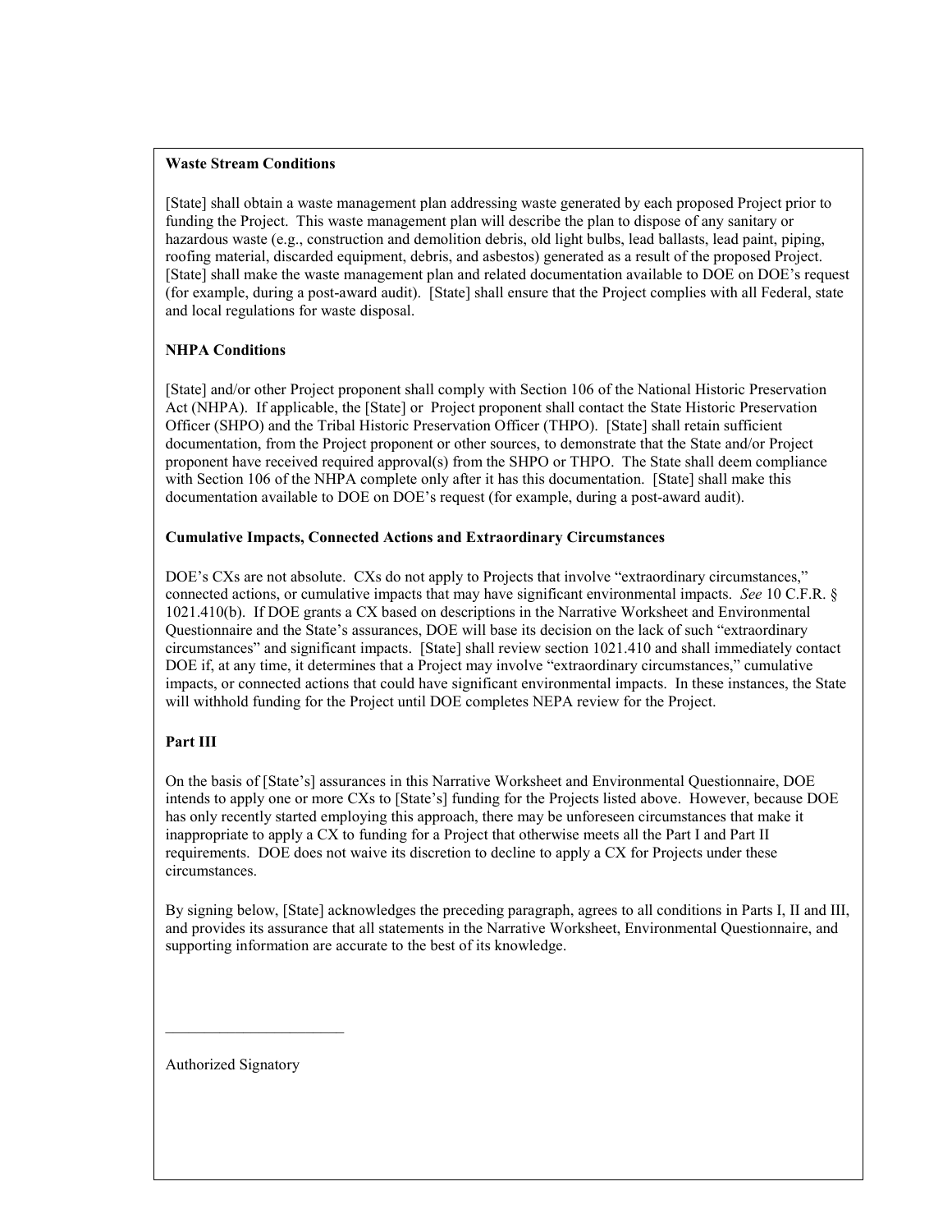#### **Waste Stream Conditions**

[State] shall obtain a waste management plan addressing waste generated by each proposed Project prior to funding the Project. This waste management plan will describe the plan to dispose of any sanitary or hazardous waste (e.g., construction and demolition debris, old light bulbs, lead ballasts, lead paint, piping, roofing material, discarded equipment, debris, and asbestos) generated as a result of the proposed Project. [State] shall make the waste management plan and related documentation available to DOE on DOE's request (for example, during a post-award audit). [State] shall ensure that the Project complies with all Federal, state and local regulations for waste disposal.

## **NHPA Conditions**

[State] and/or other Project proponent shall comply with Section 106 of the National Historic Preservation Act (NHPA). If applicable, the [State] or Project proponent shall contact the State Historic Preservation Officer (SHPO) and the Tribal Historic Preservation Officer (THPO). [State] shall retain sufficient documentation, from the Project proponent or other sources, to demonstrate that the State and/or Project proponent have received required approval(s) from the SHPO or THPO. The State shall deem compliance with Section 106 of the NHPA complete only after it has this documentation. [State] shall make this documentation available to DOE on DOE's request (for example, during a post-award audit).

#### **Cumulative Impacts, Connected Actions and Extraordinary Circumstances**

DOE's CXs are not absolute. CXs do not apply to Projects that involve "extraordinary circumstances," connected actions, or cumulative impacts that may have significant environmental impacts. *See* 10 C.F.R. § 1021.410(b). If DOE grants a CX based on descriptions in the Narrative Worksheet and Environmental Questionnaire and the State's assurances, DOE will base its decision on the lack of such "extraordinary circumstances" and significant impacts. [State] shall review section 1021.410 and shall immediately contact DOE if, at any time, it determines that a Project may involve "extraordinary circumstances," cumulative impacts, or connected actions that could have significant environmental impacts. In these instances, the State will withhold funding for the Project until DOE completes NEPA review for the Project.

# **Part III**

On the basis of [State's] assurances in this Narrative Worksheet and Environmental Questionnaire, DOE intends to apply one or more CXs to [State's] funding for the Projects listed above. However, because DOE has only recently started employing this approach, there may be unforeseen circumstances that make it inappropriate to apply a CX to funding for a Project that otherwise meets all the Part I and Part II requirements. DOE does not waive its discretion to decline to apply a CX for Projects under these circumstances.

By signing below, [State] acknowledges the preceding paragraph, agrees to all conditions in Parts I, II and III, and provides its assurance that all statements in the Narrative Worksheet, Environmental Questionnaire, and supporting information are accurate to the best of its knowledge.

Authorized Signatory

 $\overline{\phantom{a}}$  , and the set of the set of the set of the set of the set of the set of the set of the set of the set of the set of the set of the set of the set of the set of the set of the set of the set of the set of the s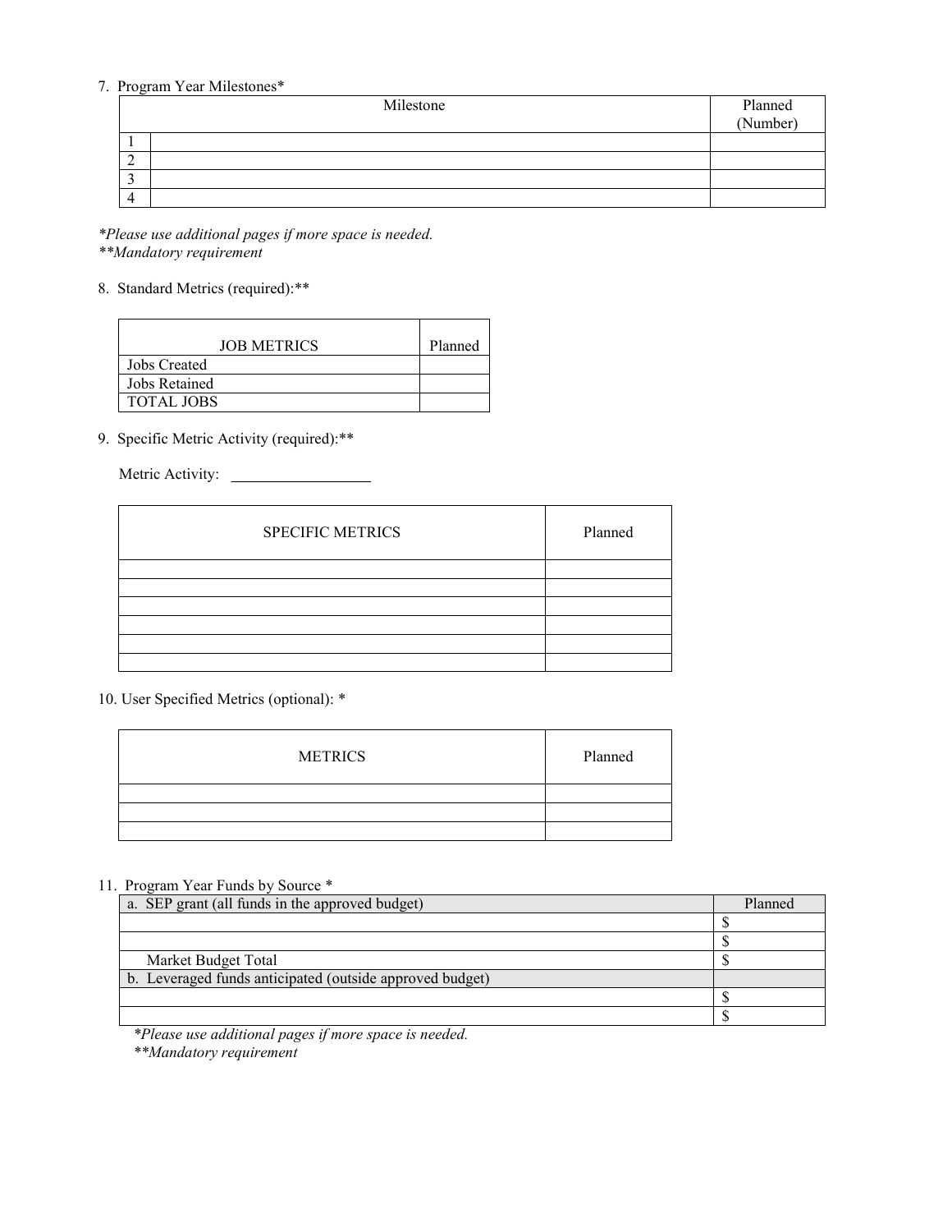## 7. Program Year Milestones\*

| Milestone | Planned<br>(Number) |
|-----------|---------------------|
|           |                     |
|           |                     |
|           |                     |
|           |                     |
|           |                     |

*\*Please use additional pages if more space is needed. \*\*Mandatory requirement*

## 8. Standard Metrics (required):\*\*

| <b>JOB METRICS</b> | Planned |
|--------------------|---------|
| Jobs Created       |         |
| Jobs Retained      |         |
| <b>TOTAL JOBS</b>  |         |

# 9. Specific Metric Activity (required):\*\*

Metric Activity:

| <b>SPECIFIC METRICS</b> | Planned |
|-------------------------|---------|
|                         |         |
|                         |         |
|                         |         |
|                         |         |
|                         |         |
|                         |         |

# 10. User Specified Metrics (optional): \*

| <b>METRICS</b> | Planned |
|----------------|---------|
|                |         |
|                |         |
|                |         |

#### 11. Program Year Funds by Source \*

| a. SEP grant (all funds in the approved budget)          | Planned |
|----------------------------------------------------------|---------|
|                                                          |         |
|                                                          |         |
| Market Budget Total                                      |         |
| b. Leveraged funds anticipated (outside approved budget) |         |
|                                                          |         |
|                                                          |         |

*\*Please use additional pages if more space is needed. \*\*Mandatory requirement*